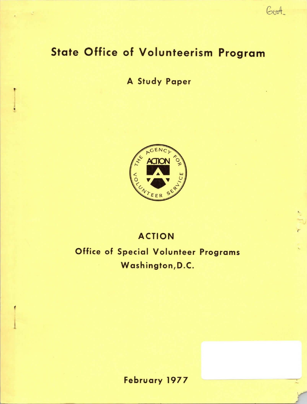# State Office of Volunteerism Program

# A Study Paper



# ACTION

,.

 $604$ 

Office of Special Volunteer Programs Washington,D.C.

February 1977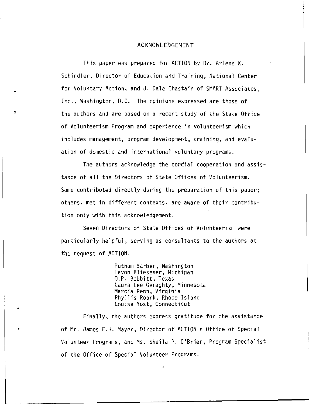### ACKNOWLEDGEMENT

This paper was prepared for ACTION by Dr. Arlene K. Schindler, Director of Education and Training, National Center for Voluntary Action, and J. Dale Chastain of SMART Associates, Inc., Washington, D.C. The opinions expressed are those of the authors and are based on a recent study of the State Office of Volunteerism Program and experience in volunteerism which includes management, program development, training, and evaluation of domestic and international voluntary programs.

The authors acknowledge the cordial cooperation and assistance of all the Directors of State Offices of Volunteerism. Some contributed directly during the preparation of this paper; others, met in different contexts, are aware of their contribution only with this acknowledgement.

Seven Directors of State Offices of Volunteerism were particularly helpful, serving as consultants to the authors at the request of ACTION.

> Putnam Barber, Washington Lavon Bliesener, Michigan O.P. Bobbitt, Texas Laura Lee Geraghty, Minnesota Marcia Penn, Virginia Phyllis Roark, Rhode Island Louise Yost, Connecticut

•

•

Finally, the authors express gratitude for the assistance of Mr. James E.H. Mayer, Director of ACTION's Office of Special Volunteer Programs, and Ms. Sheila P. O'Brien, Program Specialist of the Office of Special Volunteer Programs.

i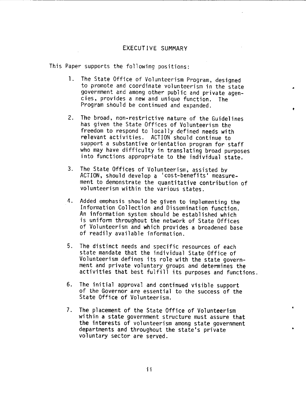# EXECUTIVE SUMMARY

This Paper supports the following positions:

1. The State Office of Volunteerism Program, designed to promote and coordinate volunteerism in the state government and among other public and private agencies, provides a new and unique function. The Program should be continued and expanded.

•

'

- 2. The broad, non-restrictive nature of the Guidelines has given the State Offices of Volunteerism the freedom to respond to locally defined needs with relevant activities. ACTION should continue to support a substantive orientation program for staff who may have difficulty in translating broad purposes into functions appropriate to the individual state.
- 3. The State Offices of Volunteerism, assisted by ACTION, should develop a 'cost-benefits' measurement to demonstrate the quantitative contribution of volunteerism within the various states.
- 4. Added emphasis should be given to implementing the Information Collection and Dissemination function. An information system should be established which is uniform throughout the network of State Offices of Volunteerism and which provides a broadened base of readily available information.
- 5. The distinct needs and specific resources of each state mandate that the individual State Office of Volunteerism defines its role with the state government and private voluntary groups and determines the activities that best fulfill its purposes and functions.
- 6. The initial approval and continued visible support of the Governor are essential to the success of the State Office of Volunteerism.
- 7. The placement of the State Office of Volunteerism within a state government structure must assure that the interests of volunteerism among state government departments and throughout the state's private voluntary sector are served.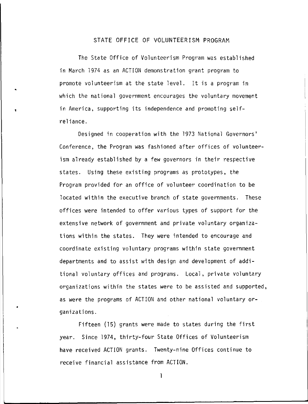### STATE OFFICE OF VOLUNTEERISM PROGRAM

The State Office of Volunteerism Program was established in March 1974 as an ACTION demonstration grant program to promote volunteerism at the state level. It is a program in which the national government encourages the voluntary movement in America, supporting its independence and promoting selfreliance.

•

•

Designed in cooperation with the 1973 National Governors' Conference, the Program was fashioned after offices of volunteerism already established by a few governors in their respective states. Using these existing programs as prototypes, the Program provided for an office of volunteer coordination to be located within the executive branch of state governments. These offices were intended to offer various types of support for the extensive network of government and private voluntary organizations within the states. They were intended to encourage and coordinate existing voluntary programs within state government departments and to assist with design and development of additional voluntary offices and programs. Local, private voluntary organizations within the states were to be assisted and supported, as were the programs of ACTION and other national voluntary organizations.

Fifteen (15) grants were made to states during the first year. Since 1974, thirty-four State Offices of Volunteerism have received ACTION grants. Twenty-nine Offices continue to receive financial assistance from ACTION.

 $\mathbf{I}$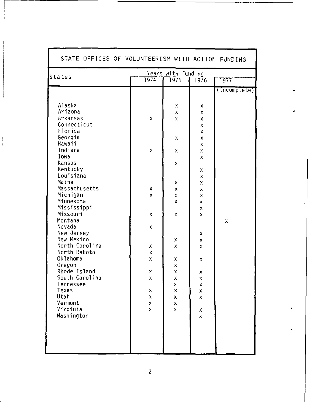| STATE OFFICES OF VOLUNTEERISM WITH ACTION FUNDING<br>Years with funding |                    |                         |                              |              |
|-------------------------------------------------------------------------|--------------------|-------------------------|------------------------------|--------------|
| States                                                                  | 1974               | 1975                    | 1976                         | 1977         |
|                                                                         |                    |                         |                              | (incomplete) |
|                                                                         |                    |                         |                              |              |
| Alaska                                                                  |                    | х                       | х                            |              |
| Arizona                                                                 |                    | $\pmb{\times}$          | $\pmb{\times}$               |              |
| Arkansas                                                                | $\pmb{\mathsf{x}}$ | $\pmb{\mathsf{x}}$      | $\pmb{\mathsf{X}}$           |              |
| Connecticut                                                             |                    |                         | $\bar{\mathsf{X}}$           |              |
| Florida                                                                 |                    |                         | $\pmb{\chi}$                 |              |
| Georgia<br>Hawaii                                                       |                    | x                       | $\pmb{\chi}$                 |              |
| Indiana                                                                 | $\pmb{\mathsf{x}}$ | X                       | X<br>$\mathsf{\overline{X}}$ |              |
| Iowa                                                                    |                    |                         | X                            |              |
| Kansas                                                                  |                    | $\pmb{\mathsf{X}}$      |                              |              |
| Kentucky                                                                |                    |                         | Χ                            |              |
| Louisiana                                                               |                    |                         | X                            |              |
| Maine                                                                   |                    | x                       | $\pmb{\mathsf{X}}$           |              |
| Massachusetts                                                           | X                  | Χ                       | X                            |              |
| Michigan<br>Minnesota                                                   | $\pmb{\mathsf{x}}$ | Χ                       | X                            |              |
| Mississippi                                                             |                    | X                       | x<br>$\pmb{\chi}$            |              |
| Missouri                                                                | $\pmb{\chi}$       | X                       | x                            |              |
| Montana                                                                 |                    |                         |                              | $\mathsf X$  |
| Nevada                                                                  | $\pmb{\mathsf{X}}$ |                         |                              |              |
| New Jersey                                                              |                    |                         | x                            |              |
| New Mexico                                                              |                    | $\pmb{\mathsf{x}}$      | x                            |              |
| North Carolina                                                          | X                  | $\pmb{\mathsf{X}}$      | Х                            |              |
| North Dakota                                                            | $\bar{\mathsf{x}}$ |                         |                              |              |
| Oklahoma                                                                | $\bar{\mathbf{x}}$ | x                       | х                            |              |
| Oregon<br>Rhode Island                                                  | Х                  | X<br>$\pmb{\mathsf{x}}$ |                              |              |
| South Carolina                                                          | $\bar{\mathbf{x}}$ | Χ                       | X                            |              |
| Tennessee                                                               |                    | $\pmb{\chi}$            | $\frac{x}{x}$                |              |
| Texas                                                                   | х                  | х                       | x                            |              |
| Utah                                                                    | $\bar{\mathsf{X}}$ | $\pmb{\mathsf{x}}$      | $\mathsf{\chi}$              |              |
| Vermont                                                                 | $\bar{\mathsf{X}}$ | X                       |                              |              |
| Virginia                                                                | $\bar{\mathsf{X}}$ | X                       | X                            |              |
| Washington                                                              |                    |                         | χ                            |              |
|                                                                         |                    |                         |                              |              |
|                                                                         |                    |                         |                              |              |
|                                                                         |                    |                         |                              |              |
|                                                                         |                    |                         |                              |              |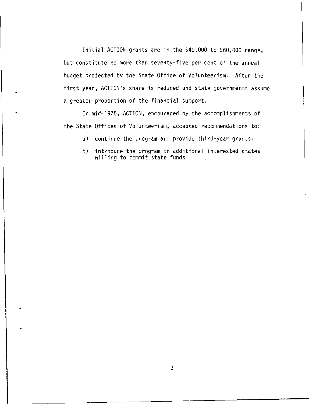Initial ACTION grants are in the \$40,000 to \$60,000 range, but constitute no more than seventy-five per cent of the annual budget projected by the State Office of Volunteerism. After the first year, ACTION's share is reduced and state governments assume a greater proportion of the financial support.

In mid-1975, ACTION, encouraged by the accomplishments of the State Offices of Volunteerism, accepted recommendations to:

- a) continue the program and provide third-year grants;
- b) introduce the program to additional interested states willing to commit state funds.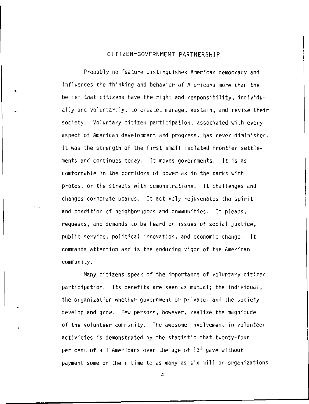# CITIZEN-GOVERNMENT PARTNERSHIP

•

•

Probably no feature distinguishes American democracy and influences the thinking and behavior of Americans more than the belief that citizens have the right and responsibility, individually and voluntarily, to create, manage, sustain, and revise their society. Voluntary citizen participation, associated with every aspect of American development and progress, has never diminished. It was the strength of the first small isolated frontier settlements and continues today. It moves governments. It is as comfortable in the corridors of power as in the parks with protest or the streets with demonstrations. It challenges and changes corporate boards. It actively rejuvenates the spirit and condition of neighborhoods and communities. It pleads, requests, and demands to be heard on issues of social justice, public service, political innovation, and economic change. It commands attention and is the enduring vigor of the American community.

Many citizens speak of the importance of voluntary citizen participation. Its benefits are seen as mutual; the individual, the organization whether government or private, and the society develop and grow. Few persons, however, realize the magnitude of the volunteer community. The awesome involvement in volunteer activities is demonstrated by the statistic that twenty-four per cent of all Americans over the age of  $13<sup>1</sup>$  gave without payment some of their time to as many as six million organizations

 $\sqrt{2}$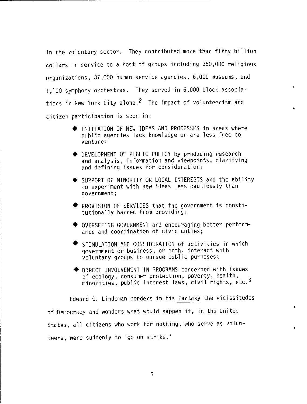in the voluntary sector. They contributed more than fifty billion dollars in service to a host of groups including 350,000 religious organizations, 37,000 human service agencies, 6,000 museums, and l ,700 symphony orchestras. They served in 6,000 block associations in New York City alone.<sup>2</sup> The impact of volunteerism and citizen participation is seen in:

- ♦ INITIATION OF NEW IDEAS AND PROCESSES in areas where public agencies lack knowledge or are less free to venture;
- ♦ DEVELOPMENT OF PUBLIC POLICY by producing research and analysis, information and viewpoints, clarifying and defining issues for consideration;
- ♦ SUPPORT OF MINORITY OR LOCAL INTERESTS and the ability to experiment with new ideas less cautiously than government;
- ♦ PROVISION OF SERVICES that the government is constitutionally barred from providing;
- ♦ OVERSEEING GOVERNMENT and encouraging better performance and coordination of civic duties;
- STIMULATION AND CONSIDERATION of activities in which government or business, or both, interact with voluntary groups to pursue public purposes;
- ♦ DIRECT INVOLVEMENT IN PROGRAMS concerned with issues of ecology, consumer protection, poverty, health, minorities, public interest laws, civil rights, etc.<sup>3</sup>

Edward C. Lindeman ponders in his Fantasy the vicissitudes of Democracy and wonders what would happen if, in the United States, all citizens who work for nothing, who serve as volunteers, were suddenly to 'go on strike.'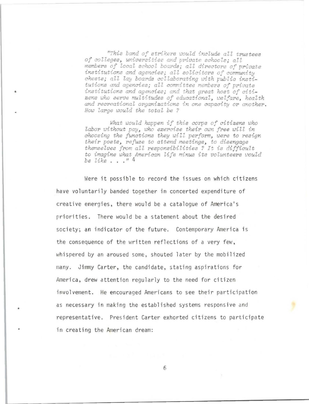*"This band of strikers would include all trustees of colleges, universities and private schools: all* members of local school boards; all directors of private *institutions and agencies; all solicitors of community chests; all lay boards ccllaborating with public insti*tutions and agencies; all committee members of private institutions and agencies; and that great host of citizens who serve multitudes of educational, welfare, health and recreational organizations in one capacity or another *How Zarge would the total be?* 

•

What would happen if this corps of citizens who *labor without pay, who exercise their own free will in chocsing the functions they will perform, were to resign their posts, refuse to attend meetings, to disengage themselves from aZl responsibilities ? I-i; 1:s difficult*  to imagine what American life minus its volunteers would *be like .* .. " 4

Were it possible to record the issues on which citizens have voluntarily banded together in concerted expenditure of creative energies, there would be a catalogue of America's rriorities. There would be a statement about the desired society; an indicator of the future. Contemporary America is the consequence of the written reflections of a very few, whispered by an aroused some, shouted later by the mobilized many. Jimmy Carter, the candidate, stating aspirations for America, drew attention regularly to the need for citizen involvement. He encouraged Americans to see their participation as necessary in making the established systems responsive and representative. President Carter exhorted citizens to participate in creating the American dream: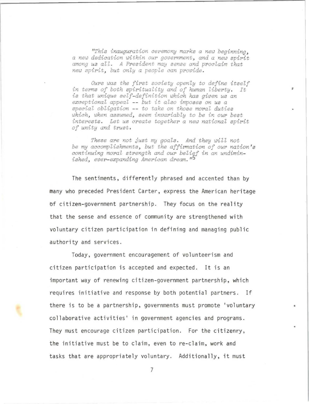*"This inauguration ceremony marks a new beginning, a new dedication within our goverwnent, and a new spirit among us all. A President may sense ond proclaim that new spirit, but only a people can provide.* 

*Ours was the first society openly to define itself in terms of both spirituality and of human liberty. It is that unique self-definition which has given us an exceptional appeal* -- *but it also imposes on us a special obligation* -- *to take on those moral duties which, when assumed, seem invariably to be in our best interests. Let us create together a new national spirit of unity and trust.* 

*These are not just my goals. And they will not be my accomplishments, but the affirmation of our nation's continuing moral strength and our belief in an undiminished, ever-expanding American dream.* <sup>11</sup>*5* 

The sentiments, differently phrased and accented than by many who preceded President Carter, express the American heritage of citizen-government partnership. They focus on the reality that the sense and essence of community are strengthened with voluntary citizen participation in defining and managing public authority and services.

Today, government encouragement of volunteerism and citizen participation is accepted and expected. It is an important way of renewing citizen-government partnership, which requires initiative and response by both potential partners. If there is to be a partnership, governments must promote 'voluntary collaborative activities' in government agencies and programs. They must encourage citizen participation. For the citizenry, the initiative must be to claim, even to re-claim, work and tasks that are appropriately voluntary. Additionally, it must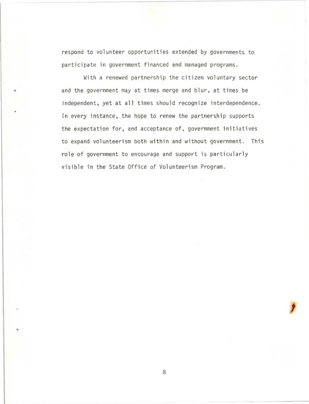respond to volunteer opportunities extended by governments to participate in government financed and managed programs.

•

With a renewed partnership the citizen voluntary sector and the government may at times merge and blur, at times be independent, yet at all times should recognize interdependence. In every instance, the hope to renew the partnership supports the expectation for, and acceptance of, government initiatives to expand volunteerism both within and without government. This role of government to encourage and support is particularly visible in the State Office of Volunteerism Program.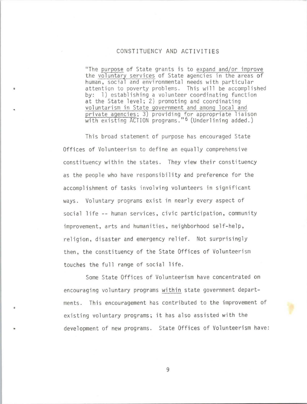# CONSTITUENCY AND ACTIVITIES

"The purpose of State grants is to expand and/or improve the voluntary services of State agencies in the areas of human, social and environmental needs with particular attention to poverty problems. This will be accomplished by: 1) establishing a volunteer coordinating function at the State level; 2) promoting and coordinating voluntarism in State government and among local and private agencies; 3) providing for appropriate liaison with existing ACTION programs."<sup>6</sup> (Underlining added.)

This broad statement of purpose has encouraged State Offices of Volunteerism to define an equally comprehensive constituency within the states. They view their constituency as the people who have responsibility and preference for the accomplishment of tasks involving volunteers in significant ways. Voluntary programs exist in nearly every aspect of social life -- human services, civic participation, community improvement, arts and humanities, neighborhood self-help, religion, disaster and emergency relief. Not surprisingly then, the constituency of the State Offices of Volunteerism touches the full range of social life.

Some State Offices of Volunteerism have concentrated on encouraging voluntary programs within state government departments. This encouragement has contributed to the improvement of existing voluntary programs; it has also assisted with the development of new programs. State Offices of Volunteerism have: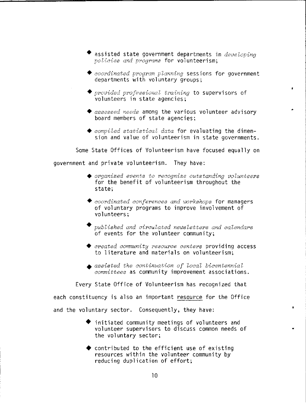- ♦ assisted state government departments in *developing*  policies and programs for volunteerism;
- ♦ *coordinated program planning* sessions for government departments with voluntary groups;

'

•

•

- ◆ *provided professional training* to supervisors of volunteers in state agencies;
- ♦ *assessed needs* among the various volunteer advisory board members of state agencies;
- ♦ *compiled statistical data* for evaluating the dimension and value of volunteerism in state governments.

Some State Offices of Volunteerism have focused equally on

government and private volunteerism. They have:

- ♦ *organized events to recognize outstanding volunteers*  for the benefit of volunteerism throughout the state;
- ♦ *coordinated conferences and workshops* for managers of voluntary programs to improve involvement of volunteers;
- ♦ *published and circulated newsletters and calendars*  of events for the volunteer community;
- ♦ *created community resource centers* providing access to literature and materials on volunteerism;
- ♦ *assisted the continuation of local bicentennial committees* as community improvement associations.

Every State Office of Volunteerism has recognized that each constituency is also an important resource for the Office and the voluntary sector. Consequently, they have:

- initiated community meetings of volunteers and volunteer supervisors to discuss common needs of the voluntary sector;
- $\blacklozenge$  contributed to the efficient use of existing resources within the volunteer community by reducing duplication of effort;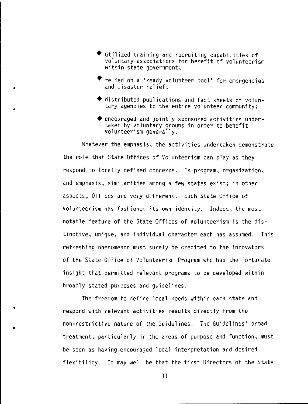- utilized training and recruiting capabilities of voluntary associations for benefit of volunteerism within state government;
- relied on a 'ready volunteer pool' for emergencies and disaster relief;

•

•

•

- ♦ distributed publications and fact sheets of voluntary agencies to the entire volunteer community;
- $\blacklozenge$  encouraged and jointly sponsored activities undertaken by voluntary groups in order to benefit volunteerism generally.

Whatever the emphasis, the activities undertaken demonstrate the role that State Offices of Volunteerism can play as they respond to locally defined concerns. In program, organization, and emphasis, similarities among a few states exist; in other aspects, Offices are very different. Each State Office of Volunteerism has fashioned its own identity. Indeed, the most notable feature of the State Offices of Volunteerism is the distinctive, unique, and individual character each has assumed. This refreshing phenomenon must surely be credited to the innovators of the State Office of Volunteerism Program who had the fortunate insight that permitted relevant programs to be developed within broadly stated purposes and guidelines.

The freedom to define local needs within each state and respond with relevant activities results directly from the non-restrictive nature of the Guidelines. The Guidelines' broad treatment, particularly in the areas of purpose and function, must be seen as having encouraged local interpretation and desired flexibility. It may well be that the first Directors of the State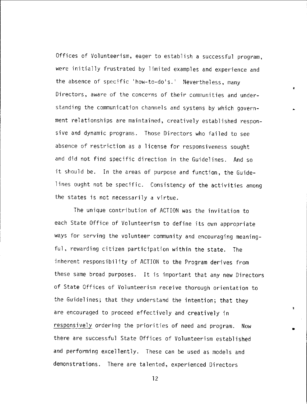Offices of Volunteerism, eager to establish a successful program, were initially frustrated by limited examples and experience and the absence of specific 'how-to-do's.' Nevertheless, many Directors, aware of the concerns of their communities and understanding the communication channels and systems by which government relationships are maintained, creatively established responsive and dynamic programs. Those Directors who failed to see absence of restriction as a license for responsiveness sought and did not find specific direction in the Guidelines. And so it should be. In the areas of purpose and function, the Guidelines ought not be specific. Consistency of the activities among the states is not necessarily a virtue.

•

•

 $\mathbf{r}$ 

The unique contribution of ACTION was the invitation to each State Office of Volunteerism to define its own appropriate ways for serving the volunteer community and encouraging meaningful, rewarding citizen participation within the state. The inherent responsibility of ACTION to the Program derives from these same broad purposes. It is important that any new Directors of State Offices of Volunteerism receive thorough orientation to the Guidelines; that they understand the intention; that they are encouraged to proceed effectively and creatively in responsively ordering the priorities of need and program. Now there are successful State Offices of Volunteerism established and performing excellently. These can be used as models and demonstrations. There are talented, experienced Directors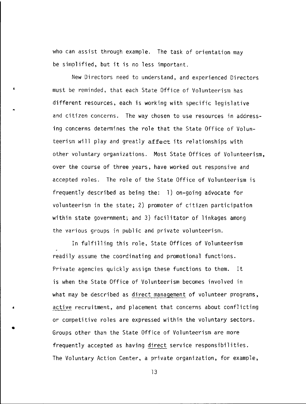who can assist through example. The task of orientation may be simplified, but it is no less important.

•

•

•

New Directors need to understand, and experienced Directors must be reminded, that each State Office of Volunteerism has different resources, each is working with specific legislative and citizen concerns. The way chosen to use resources in addressing concerns determines the role that the State Office of Volunteerism will play and greatly affect its relationships with other voluntary organizations. Most State Offices of Volunteerism, over the course of three years, have worked out responsive and accepted roles. The role of the State Office of Volunteerism is frequently described as being the: l) on-going advocate for volunteerism in the state; 2) promoter of citizen participation within state government; and 3) facilitator of linkages among the various groups in public and private volunteerism.

In fulfilling this role, State Offices of Volunteerism readily assume the coordinating and promotional functions. Private agencies quickly assign these functions to them. It is when the State Office of Volunteerism becomes involved in what may be described as direct management of volunteer programs, active recruitment, and placement that concerns about conflicting or competitive roles are expressed within the voluntary sectors . Groups other than the State Office of Volunteerism are more frequently accepted as having direct service responsibilities. The Voluntary Action Center, a private organization, for example,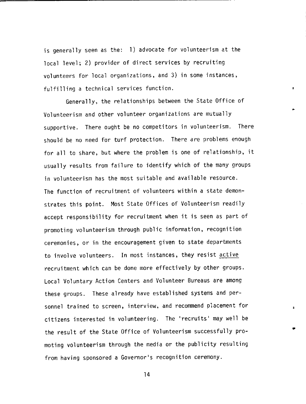is generally seen as the: 1) advocate for volunteerism at the local level; 2) provider of direct services by recruiting volunteers for local organizations, and 3) in some instances, fulfilling a technical services function.

Generally, the relationships between the State Office of Volunteerism and other volunteer organizations are mutually supportive. There ought be no competitors in volunteerism. There should be no need for turf protection. There are problems enough for all to share, but where the problem is one of relationship, it usually results from failure to identify which of the many groups in volunteerism has the most suitable and available resource. The function of recruitment of volunteers within a state demonstrates this point. Most State Offices of Volunteerism readily accept responsibility for recruitment when it is seen as part of promoting volunteerism through public information, recognition ceremonies, or in the encouragement given to state departments to involve volunteers. In most instances, they resist active recruitment which can be done more effectively by other groups. Local Voluntary Action Centers and Volunteer Bureaus are among these groups. These already have established systems and personnel trained to screen, interview, and recommend placement for citizens interested in volunteering. The 'recruits' may well be the result of the State Office of Volunteerism successfully promoting volunteerism through the media or the publicity resulting from having sponsored a Governor's recognition ceremony.

14

'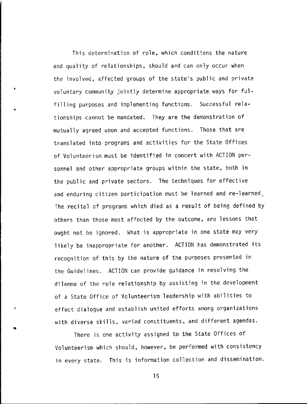This determination of role, which conditions the nature and quality of relationships, should and can only occur when the involved, affected groups of the state's public and private voluntary community jointly determine appropriate ways for fulfilling purposes and implementing functions. Successful relationships cannot be mandated. They are the demonstration of mutually agreed upon and accepted functions. Those that are translated into programs and activities for the State Offices of Volunteerism must be identified in concert with ACTION personnel and other appropriate groups within the state, both in the public and private sectors. The techniques for effective and enduring citizen participation must be learned and re-learned The recital of programs which died as a result of being defined by others than those most affected by the outcome, are lessons that ought not be ignored. What is appropriate in one state may very likely be inappropriate for another. ACTION has demonstrated its recognition of this by the nature of the purposes presented in the Guidelines. ACTION can provide guidance in resolving the dilemma of the role relationship by assisting in the development of a State Office of Volunteerism leadership with abilities to effect dialogue and establish united efforts among organizations with diverse skills, varied constituents, and different agendas .

•

•

 $\Delta$ 

There is one activity assigned to the State Offices of Volunteerism which should, however, be performed with consistency in every state. This is information collection and dissemination.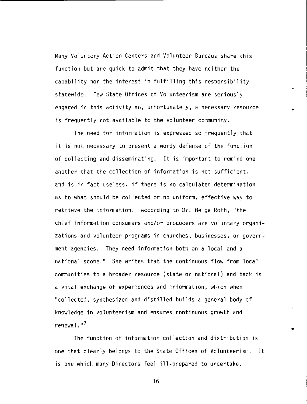Many Voluntary Action Centers and Volunteer Bureaus share this function but are quick to admit that they have neither the capability nor the interest in fulfilling this responsibility statewide. Few State Offices of Volunteerism are seriously engaged in this activity so, unfortunately, a necessary resource is frequently not available to the volunteer community.

•

•

The need for information is expressed so frequently that it is not necessary to present a wordy defense of the function of collecting and disseminating. It is important to remind one another that the collection of information is not sufficient, and is in fact useless, if there is no calculated determination as to what should be collected or no uniform, effective way to retrieve the information. According to Dr. Helga Roth, "the chief information consumers and/or producers are voluntary organizations and volunteer programs in churches, businesses, or government agencies. They need information both on a local and a national scope.'' She writes that the continuous flow from local communities to a broader resource (state or national) and back is a vital exchange of experiences and information, which when ''collected, synthesized and distilled builds a general body of knowledge in volunteerism and ensures continuous growth and renewal."<sup>7</sup>

The function of information collection and distribution is one that clearly belongs to the State Offices of Volunteerism. It is one which many Directors feel ill-prepared to undertake.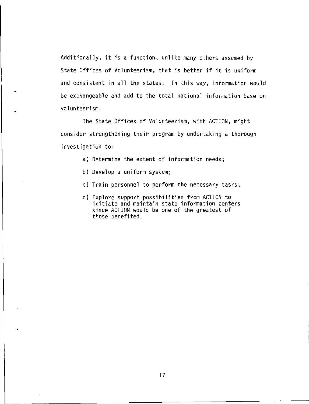Additionally, it is a function, unlike many others assumed by State Offices of Volunteerism, that is better if it is uniform and consistent in all the states. In this way, information would be exchangeable and add to the total national information base on volunteerism .

The State Offices of Volunteerism, with ACTION, might consider strengthening their program by undertaking a thorough investigation to:

- a) Determine the extent of information needs;
- b) Develop a uniform system;

•

- c) Train personnel to perform the necessary tasks;
- d) Explore support possibilities from ACTION to initiate and maintain state information centers since ACTION would be one of the greatest of those benefited.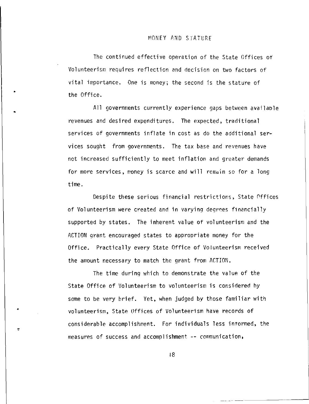#### MONEY AND STATURE

The continued effective operation of the State Offices of Volunteerism requires reflection and decision on two factors of vital importance. One is money; the second is the stature of the Office.

•

•

All governments currently experience gaps between available revenues and desired expenditures. The expected, traditional services of governments inflate in cost as do the additional services sought from governments. The tax base and revenues have not increased sufficiently to meet inflation and greater demands for more services, money is scarce and will remain so for a long time.

Despite these serious financial restrictions, State 0ffices of Volunteerism were created and in varying degrees financially supported by states. The inherent value of volunteerism and the ACTION grant encouraged states to approoriate money for the Office. Practically every State Office of Volunteerism received the amount necessary to match the grant from ACTION.

The time during which to demonstrate the value of the State Office of Volunteerism to volunteerism is considered by some to be *very* brief. Yet, when judged by those familiar with volunteerism, State Offices of Volunteerism have records of considerable accomplishment. For individuals less intormed, the measures of success and accomplishment -- communication,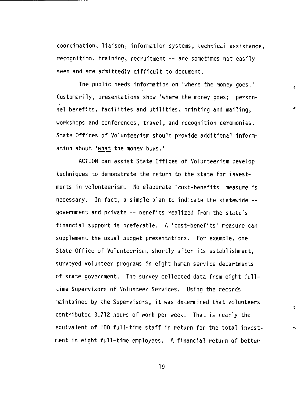coordination, liaison, information systems, technical assistance, recognition, training, recruitment -- are sometimes not easily seen and are admittedly difficult to document.

4

 $\mathbf{B}$ 

The public needs information on 'where the money goes.' Customarily, presentations show 'where the money goes;' personnel benefits, facilities and utilities, printing and mailing, workshops and conferences, travel, and recognition ceremonies. State Offices of Vclunteerism should provide additional information about 'what the money buys.'

ACTION can assist State Offices of Volunteerism develop techniques to demonstrate the return to the state for investments in volunteerism. No elaborate 'cost-benefits' measure is necessary. In fact, a simple plan to indicate the statewide government and private -- benefits realized from the state's financial support is preferable. A 'cost-benefits' measure can supplement the usual budget presentations. For example, one State Office of Volunteerism, shortly after its establishment, surveyed volunteer programs in eight human service departments of state government. The survey collected data from eight fulltime Supervisors of Volunteer Services. Using the records maintained by the Supervisors, it was determined that volunteers contributed 3,712 hours of work per week. That is nearly the equivalent of 100 full-time staff in return for the total investment in eight full-time employees. A financial return of better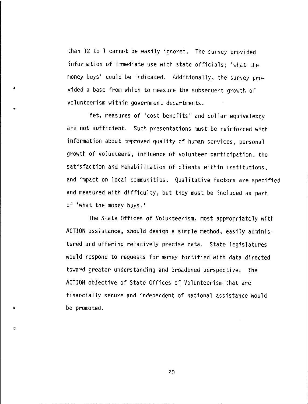than 12 to 1 cannot be easily ignored. The survey provided information of immediate use with state officials; 'what the money buys' could be indicated. Additionally, the survey provided a base from which to measure the subsequent growth of volunteerism within government departments .

•

•

•

 $\bullet$ 

Yet, measures of 'cost benefits' and dollar equivalency are not sufficient. Such presentations must be reinforced with information about improved quality of human services, personal growth of volunteers, influence of volunteer participation, the satisfaction and rehabilitation of clients within institutions, and impact on local communities. Qualitative factors are specified and measured with difficulty, but they must be included as part of 'what the money buys.'

The State Offices of Volunteerism, most appropriately with ACTION assistance, should design a simple method, easily administered and offering relatively precise data. State legislatures would respond to requests for money fortified with data directed toward greater understanding and broadened perspective. The ACTION objective of State Offices of Volunteerism that are financially secure and independent of national assistance would be promoted .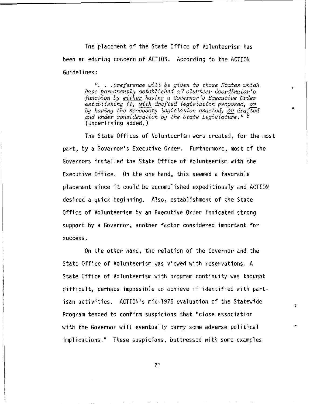The placement of the State Office of Volunteerism has been an eduring concern of ACTION. According to the ACTION Guidelines:

> "...preference will be given to those States which *have permanently established a Volunteer Coordinator's function by either having a Governor's Executive Order*  establishing it, with drafted legislation proposed, or by having the necessary legislation enacted, or drafted *and under consideration by the State Legislature."* 8 (Underlining added.)

The State Offices of Volunteerism were created, for the most part, by a Governor's Executive Order. Furthermore, most of the Governors installed the State Office of Volunteerism with the Executive Office. On the one hand, this seemed a favorable placement since it could be accomplished expeditiously and ACTION desired a quick beginning. Also, establishment of the State Office of Volunteerism by an Executive Order indicated strong support by a Governor, another factor considered important for success.

On the other hand, the relation of the Governor and the State Office of Volunteerism was viewed with reservations. A State Office of Volunteerism with program continuity was thought difficult, perhaps impossible to achieve if identified with partisan activities. ACTION's mid-1975 evaluation of the Statewide Program tended to confirm suspicions that "close association with the Governor will eventually carry some adverse political implications.'' These suspicions, buttressed with some examples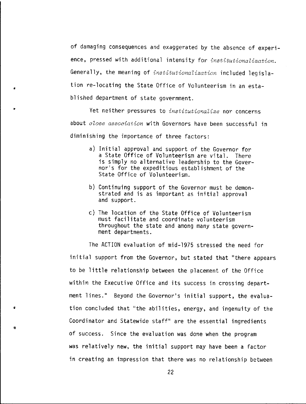of damaging consequences and exaggerated by the absence of experience, pressed with additional intensity for *institutionalization.*  Generally, the meaning of *institutionalization* included legislation re-locating the State Office of Volunteerism in an established department of state government.

Yet neither pressures to *institutionalize* nor concerns about *close association* with Governors have been successful in diminishing the importance of three factors:

•

•

- a) Initial approval and support of the Governor for a State Office of Volunteerism are vital. There is simply no alternative leadership to the Governor's for the expeditious establishment of the State Office of Volunteerism.
- b) Continuing support of the Governor must be demonstrated and is as important as initial approval and support.
- c) The location of the State Office of Volunteerism must facilitate and coordinate volunteerism throughout the state and among many state government departments.

The ACTION evaluation of mid-1975 stressed the need for initial support from the Governor, but stated that ''there appears to be little relationship between the placement of the Office within the Executive Office and its success in crossing department lines." Beyond the Governor's initial support, the evaluation concluded that "the abilities, energy, and ingenuity of the Coordinator and Statewide staff'' are the essential ingredients of success. Since the evaluation was done when the program was relatively new, the initial support may have been a factor in creating an impression that there was no relationship between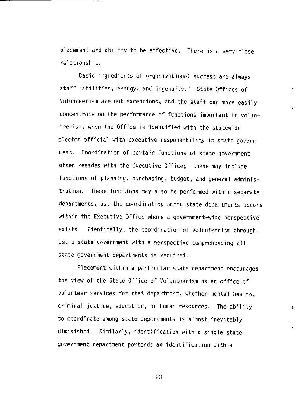placement and ability to be effective. There is a very close relationship.

Basic ingredients of organizational success are always staff "abilities, energy, and ingenuity." State Offices of Volunteerism are not exceptions, and the staff can more easily concentrate on the performance of functions important to volunteerism, when the Office is identified with the statewide elected official with executive responsibility in state government. Coordination of certain functions of state government often resides with the Executive Office; these may include functions of planning, purchasing, budget, and general administration. These functions may also be performed within separate departments, but the coordinating among state departments occurs within the Executive Office where a government-wide perspective exists. Identically, the coordination of volunteerism throughout a state government with a perspective comprehending all state government departments is required.

Placement within a particular state department encourages the view of the State Office of Volunteerism as an office of volunteer services for that department, whether mental health, criminal justice, education, or human resources. The ability to coordinate among state departments is almost inevitably diminished. Similarly, identification with a single state government department portends an identification with a

ċ.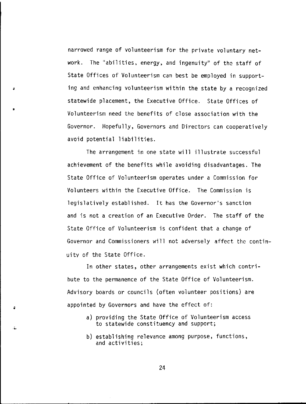narrowed range of volunteerism for the private voluntary network. The "abilities, energy, and ingenuity" of the staff of State Offices of Volunteerism can best be employed in supporting and enhancing volunteerism within the state by a recognized statewide placement, the Executive Office. State Offices of Volunteerism need the benefits of close association with the Governor. Hopefully, Governors and Directors can cooperatively avoid potential liabilities.

•

•

ä.

The arrangement in one state will illustrate successful achievement of the benefits while avoiding disadvantages. The State Office of Volunteerism operates under a Commission for Volunteers within the Executive Office. The Commission is legislatively established. It has the Governor's sanction and is not a creation of an Executive Order. The staff of the State Office of Volunteerism is confident that a change of Governor and Commissioners will not adversely affect the continuity of the State Office.

In other states, other arrangements exist which contribute to the permanence of the State Office of Volunteerism. Advisory boards or councils (often volunteer positions) are appointed by Governors and have the effect of:

- a) providing the State Office of Volunteerism access to statewide constituency and support;
- b) establishing relevance among purpose, functions, and activities;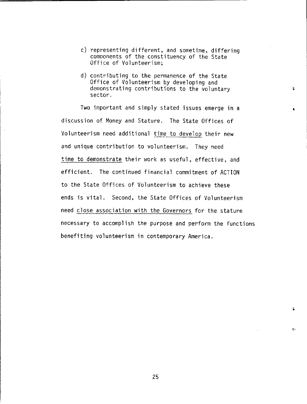- c) representing different, and sometime, differing comoonents of the constituency of the State Office of Volunteerism;
- d) contributing to the permanence of the State Office of Volunteerism by developing and demonstrating contributions to the voluntary sector.

Two important and simply stated issues emerge in a discussion of Money and Stature. The State Offices of Volunteerism need additional time to develop their new and unique contribution to volunteerism. They need time to demonstrate their work as useful, effective, and efficient. The continued financial commitment of ACTION to the State Offices of Volunteerism to achieve these ends is vital. Second, the State Offices of Volunteerism need close association with the Governors for the stature necessary to accomplish the purpose and perform the functions benefiting volunteerism in contemporary America.

25

Чċ.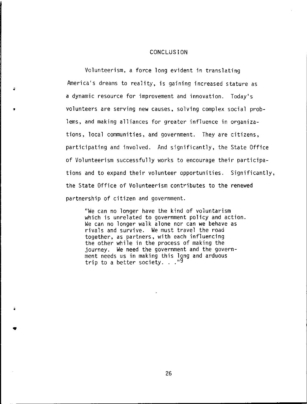#### CONCLUSION

Volunteerism, a force long evident in translating America's dreams to reality, is gaining increased stature as a dynamic resource for improvement and innovation. Today's volunteers are serving new causes, solving complex social problems, and making alliances for greater influence in organizations, local communities, and government. They are citizens, participating and involved. And significantly, the State Office of Volunteerism successfully works to encourage their participations and to expand their volunteer opportunities. Significantly, the State Office of Volunteerism contributes to the renewed partnership of citizen and government.

•

•

"We can no longer have the kind of voluntarism which is unrelated to government policy and action. We can no longer walk alone nor can we behave as rivals and survive. We must travel the road together, as partners, with each influencing the other while in the process of making the journey. We need the government and the government needs us in making this long and arduous trip to a better society.  $.$  .  $.$ <sup>9</sup>